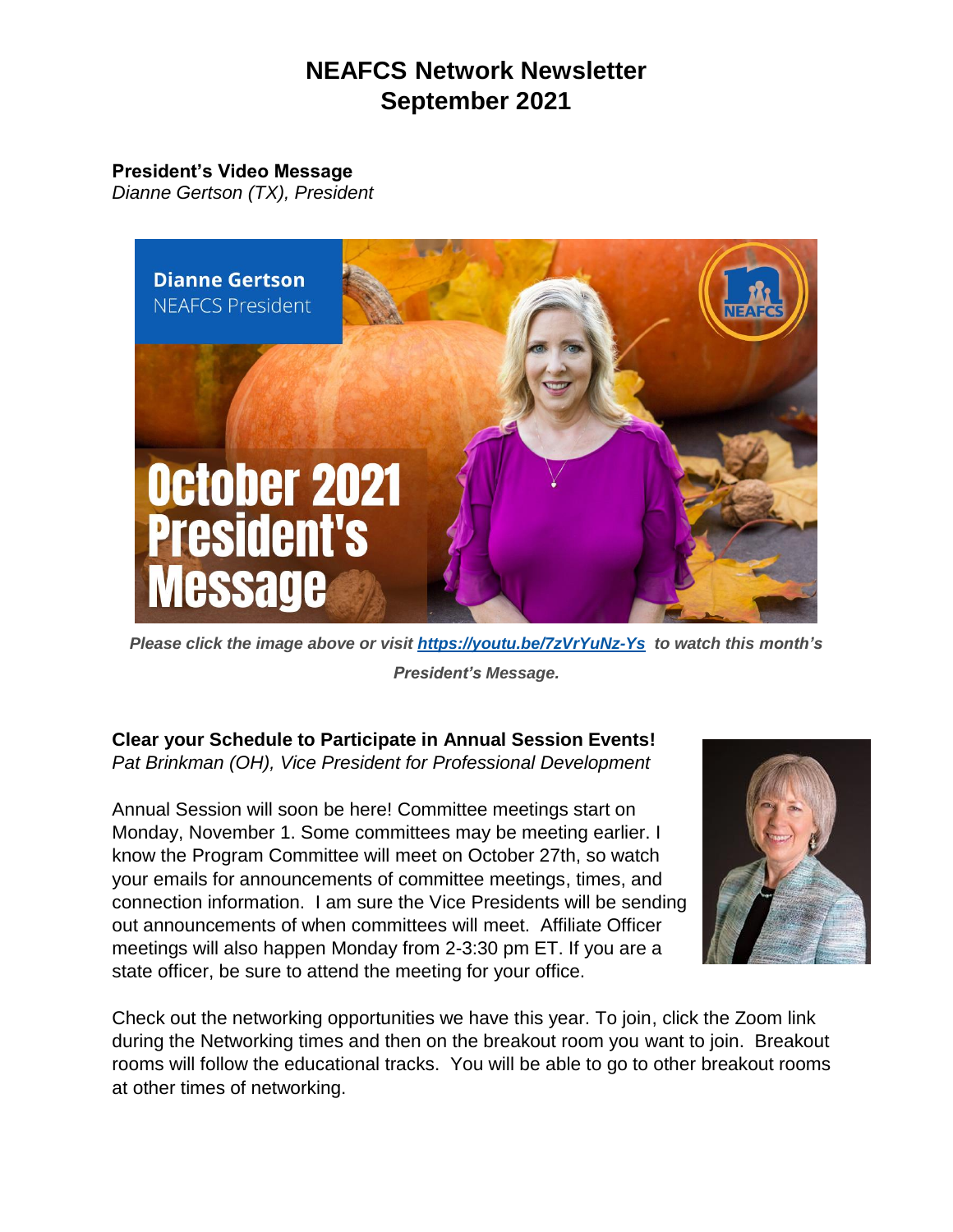# **NEAFCS Network Newsletter September 2021**

#### **President's Video Message**

*Dianne Gertson (TX), President*



*Please click the image above or visit [https://youtu.be/7zVrYuNz-Ys](https://urldefense.com/v3/__https:/youtu.be/7zVrYuNz-Ys__;!!KGKeukY!jaRFrEEirpOGx7aI7SnMFbP4iG0G5uvfQ7Axt_2Zlp-CNLlLZQbYYxZ8AU_uET9wfLk$) to watch this month's President's Message.*

**Clear your Schedule to Participate in Annual Session Events!** *Pat Brinkman (OH), Vice President for Professional Development* 

Annual Session will soon be here! Committee meetings start on Monday, November 1. Some committees may be meeting earlier. I know the Program Committee will meet on October 27th, so watch your emails for announcements of committee meetings, times, and connection information. I am sure the Vice Presidents will be sending out announcements of when committees will meet. Affiliate Officer meetings will also happen Monday from 2-3:30 pm ET. If you are a state officer, be sure to attend the meeting for your office.



Check out the networking opportunities we have this year. To join, click the Zoom link during the Networking times and then on the breakout room you want to join. Breakout rooms will follow the educational tracks. You will be able to go to other breakout rooms at other times of networking.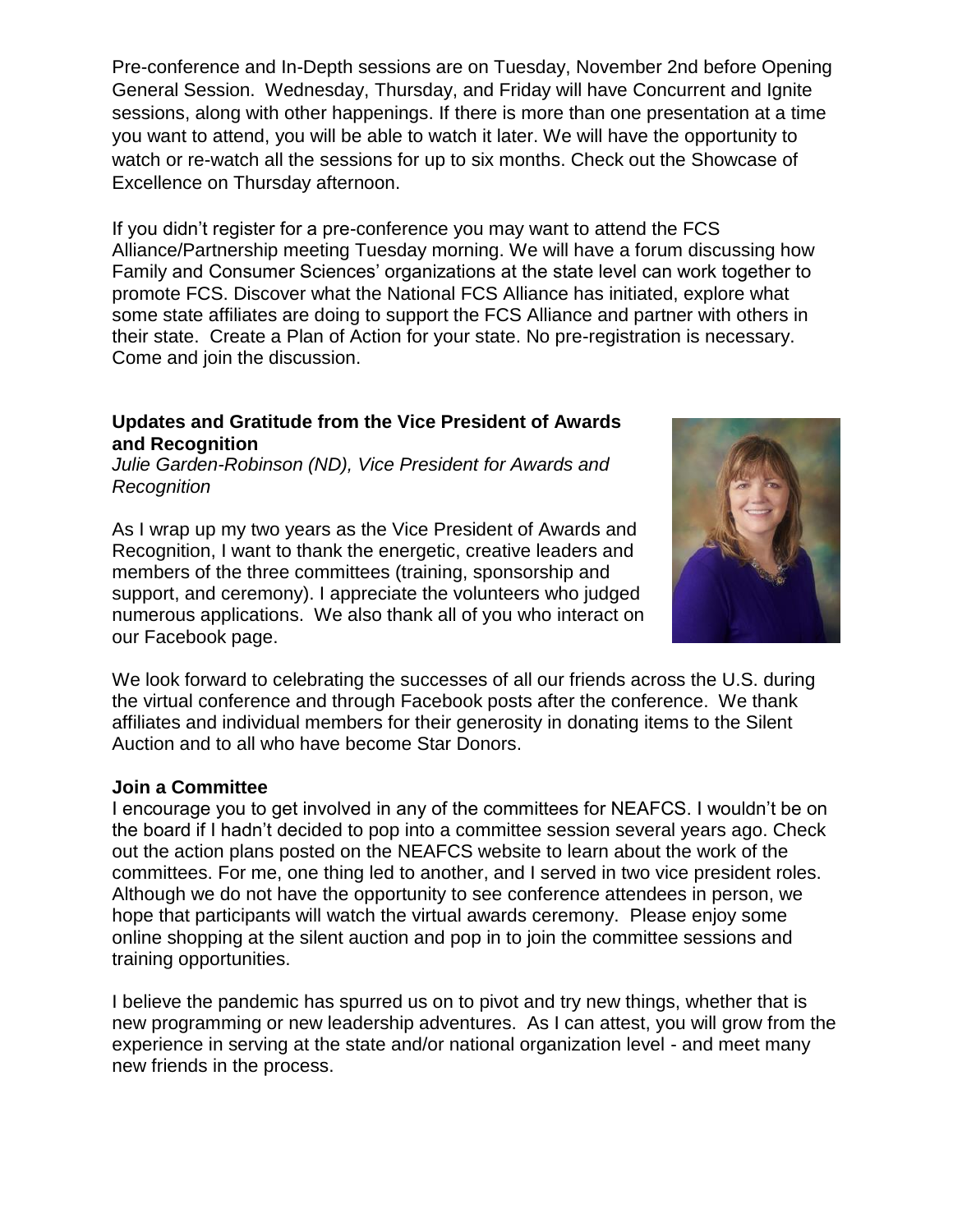Pre-conference and In-Depth sessions are on Tuesday, November 2nd before Opening General Session. Wednesday, Thursday, and Friday will have Concurrent and Ignite sessions, along with other happenings. If there is more than one presentation at a time you want to attend, you will be able to watch it later. We will have the opportunity to watch or re-watch all the sessions for up to six months. Check out the Showcase of Excellence on Thursday afternoon.

If you didn't register for a pre-conference you may want to attend the FCS Alliance/Partnership meeting Tuesday morning. We will have a forum discussing how Family and Consumer Sciences' organizations at the state level can work together to promote FCS. Discover what the National FCS Alliance has initiated, explore what some state affiliates are doing to support the FCS Alliance and partner with others in their state. Create a Plan of Action for your state. No pre-registration is necessary. Come and join the discussion.

#### **Updates and Gratitude from the Vice President of Awards and Recognition**

*Julie Garden-Robinson (ND), Vice President for Awards and Recognition* 

As I wrap up my two years as the Vice President of Awards and Recognition, I want to thank the energetic, creative leaders and members of the three committees (training, sponsorship and support, and ceremony). I appreciate the volunteers who judged numerous applications. We also thank all of you who interact on our Facebook page.



We look forward to celebrating the successes of all our friends across the U.S. during the virtual conference and through Facebook posts after the conference. We thank affiliates and individual members for their generosity in donating items to the Silent Auction and to all who have become Star Donors.

#### **Join a Committee**

I encourage you to get involved in any of the committees for NEAFCS. I wouldn't be on the board if I hadn't decided to pop into a committee session several years ago. Check out the action plans posted on the NEAFCS website to learn about the work of the committees. For me, one thing led to another, and I served in two vice president roles. Although we do not have the opportunity to see conference attendees in person, we hope that participants will watch the virtual awards ceremony. Please enjoy some online shopping at the silent auction and pop in to join the committee sessions and training opportunities.

I believe the pandemic has spurred us on to pivot and try new things, whether that is new programming or new leadership adventures. As I can attest, you will grow from the experience in serving at the state and/or national organization level - and meet many new friends in the process.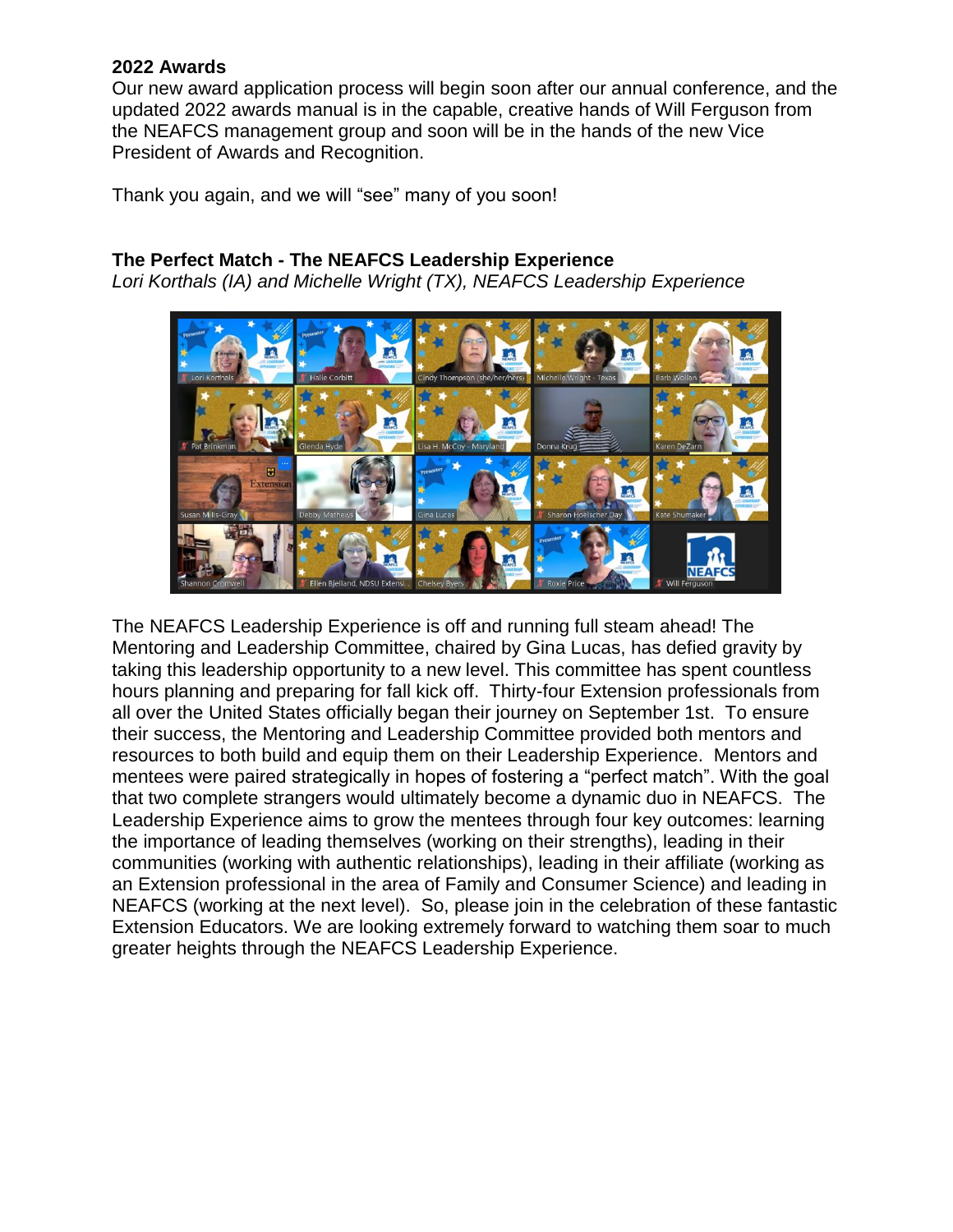#### **2022 Awards**

Our new award application process will begin soon after our annual conference, and the updated 2022 awards manual is in the capable, creative hands of Will Ferguson from the NEAFCS management group and soon will be in the hands of the new Vice President of Awards and Recognition.

Thank you again, and we will "see" many of you soon!

## **The Perfect Match - The NEAFCS Leadership Experience**

*Lori Korthals (IA) and Michelle Wright (TX), NEAFCS Leadership Experience* 



The NEAFCS Leadership Experience is off and running full steam ahead! The Mentoring and Leadership Committee, chaired by Gina Lucas, has defied gravity by taking this leadership opportunity to a new level. This committee has spent countless hours planning and preparing for fall kick off. Thirty-four Extension professionals from all over the United States officially began their journey on September 1st. To ensure their success, the Mentoring and Leadership Committee provided both mentors and resources to both build and equip them on their Leadership Experience. Mentors and mentees were paired strategically in hopes of fostering a "perfect match". With the goal that two complete strangers would ultimately become a dynamic duo in NEAFCS. The Leadership Experience aims to grow the mentees through four key outcomes: learning the importance of leading themselves (working on their strengths), leading in their communities (working with authentic relationships), leading in their affiliate (working as an Extension professional in the area of Family and Consumer Science) and leading in NEAFCS (working at the next level). So, please join in the celebration of these fantastic Extension Educators. We are looking extremely forward to watching them soar to much greater heights through the NEAFCS Leadership Experience.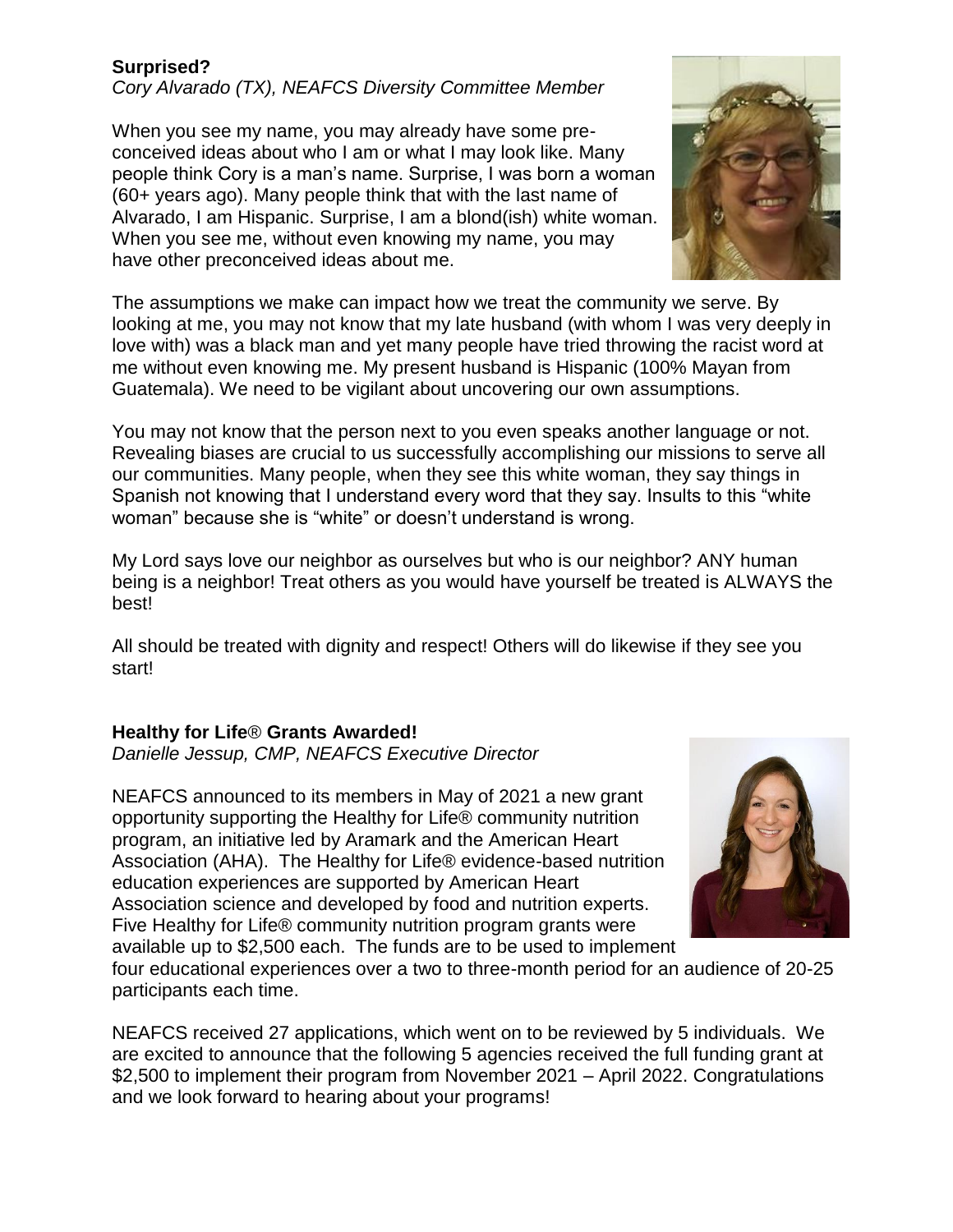## **Surprised?**

*Cory Alvarado (TX), NEAFCS Diversity Committee Member*

When you see my name, you may already have some preconceived ideas about who I am or what I may look like. Many people think Cory is a man's name. Surprise, I was born a woman (60+ years ago). Many people think that with the last name of Alvarado, I am Hispanic. Surprise, I am a blond(ish) white woman. When you see me, without even knowing my name, you may have other preconceived ideas about me.



The assumptions we make can impact how we treat the community we serve. By looking at me, you may not know that my late husband (with whom I was very deeply in love with) was a black man and yet many people have tried throwing the racist word at me without even knowing me. My present husband is Hispanic (100% Mayan from Guatemala). We need to be vigilant about uncovering our own assumptions.

You may not know that the person next to you even speaks another language or not. Revealing biases are crucial to us successfully accomplishing our missions to serve all our communities. Many people, when they see this white woman, they say things in Spanish not knowing that I understand every word that they say. Insults to this "white woman" because she is "white" or doesn't understand is wrong.

My Lord says love our neighbor as ourselves but who is our neighbor? ANY human being is a neighbor! Treat others as you would have yourself be treated is ALWAYS the best!

All should be treated with dignity and respect! Others will do likewise if they see you start!

#### **Healthy for Life**® **Grants Awarded!**

*Danielle Jessup, CMP, NEAFCS Executive Director*

NEAFCS announced to its members in May of 2021 a new grant opportunity supporting the Healthy for Life® community nutrition program, an initiative led by Aramark and the American Heart Association (AHA). The Healthy for Life® evidence-based nutrition education experiences are supported by American Heart Association science and developed by food and nutrition experts. Five Healthy for Life® community nutrition program grants were available up to \$2,500 each. The funds are to be used to implement



four educational experiences over a two to three-month period for an audience of 20-25 participants each time.

NEAFCS received 27 applications, which went on to be reviewed by 5 individuals. We are excited to announce that the following 5 agencies received the full funding grant at \$2,500 to implement their program from November 2021 – April 2022. Congratulations and we look forward to hearing about your programs!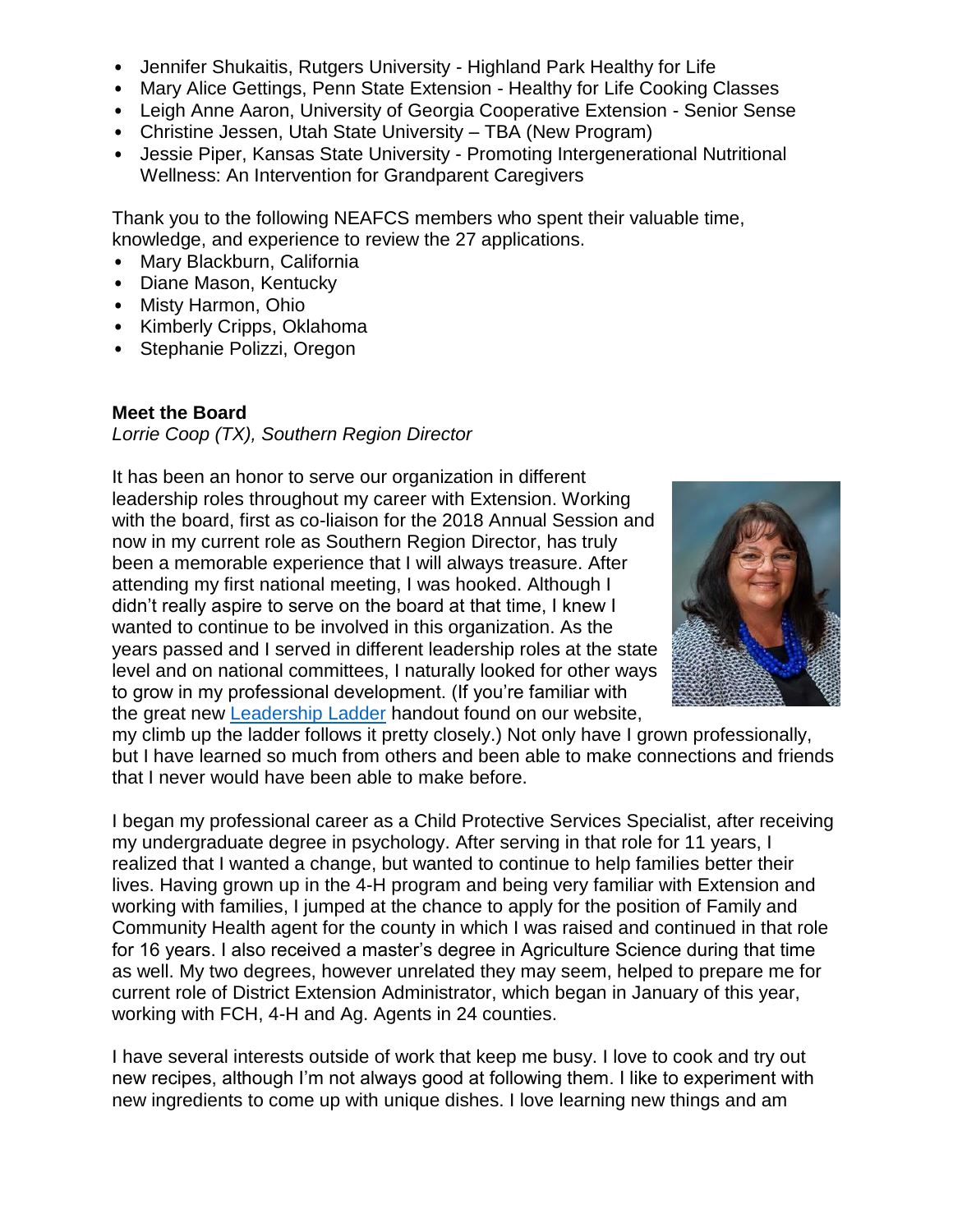- Jennifer Shukaitis, Rutgers University Highland Park Healthy for Life
- Mary Alice Gettings, Penn State Extension Healthy for Life Cooking Classes
- Leigh Anne Aaron, University of Georgia Cooperative Extension Senior Sense
- Christine Jessen, Utah State University TBA (New Program)
- Jessie Piper, Kansas State University Promoting Intergenerational Nutritional Wellness: An Intervention for Grandparent Caregivers

Thank you to the following NEAFCS members who spent their valuable time, knowledge, and experience to review the 27 applications.

- Mary Blackburn, California
- Diane Mason, Kentucky
- Misty Harmon, Ohio
- Kimberly Cripps, Oklahoma
- Stephanie Polizzi, Oregon

### **Meet the Board**

*Lorrie Coop (TX), Southern Region Director*

It has been an honor to serve our organization in different leadership roles throughout my career with Extension. Working with the board, first as co-liaison for the 2018 Annual Session and now in my current role as Southern Region Director, has truly been a memorable experience that I will always treasure. After attending my first national meeting, I was hooked. Although I didn't really aspire to serve on the board at that time, I knew I wanted to continue to be involved in this organization. As the years passed and I served in different leadership roles at the state level and on national committees, I naturally looked for other ways to grow in my professional development. (If you're familiar with the great new [Leadership Ladder](https://neafcs.memberclicks.net/assets/documents/administration/NEAFCS%20Leadership%20Ladder%20FINAL.pdf) handout found on our website,



my climb up the ladder follows it pretty closely.) Not only have I grown professionally, but I have learned so much from others and been able to make connections and friends that I never would have been able to make before.

I began my professional career as a Child Protective Services Specialist, after receiving my undergraduate degree in psychology. After serving in that role for 11 years, I realized that I wanted a change, but wanted to continue to help families better their lives. Having grown up in the 4-H program and being very familiar with Extension and working with families, I jumped at the chance to apply for the position of Family and Community Health agent for the county in which I was raised and continued in that role for 16 years. I also received a master's degree in Agriculture Science during that time as well. My two degrees, however unrelated they may seem, helped to prepare me for current role of District Extension Administrator, which began in January of this year, working with FCH, 4-H and Ag. Agents in 24 counties.

I have several interests outside of work that keep me busy. I love to cook and try out new recipes, although I'm not always good at following them. I like to experiment with new ingredients to come up with unique dishes. I love learning new things and am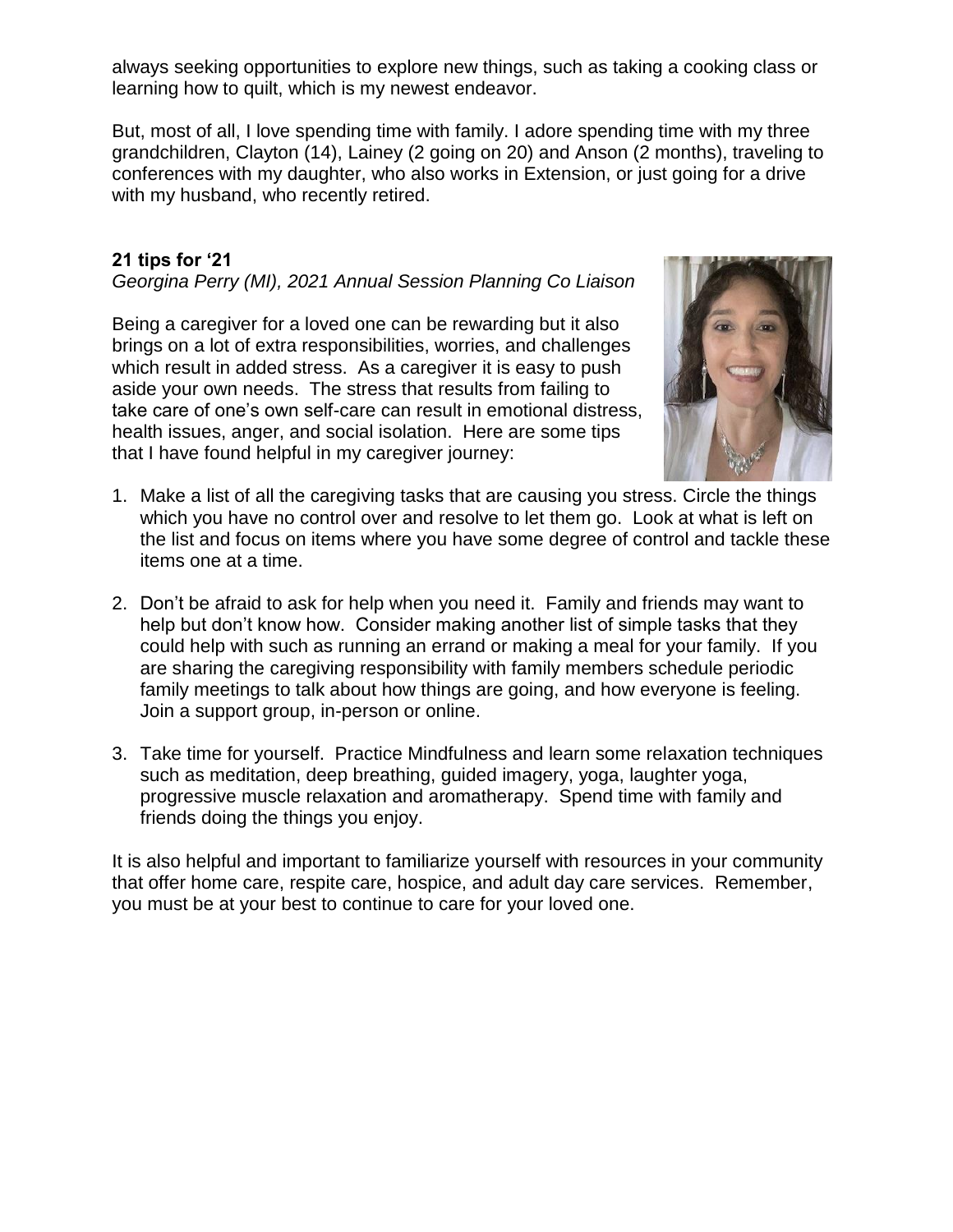always seeking opportunities to explore new things, such as taking a cooking class or learning how to quilt, which is my newest endeavor.

But, most of all, I love spending time with family. I adore spending time with my three grandchildren, Clayton (14), Lainey (2 going on 20) and Anson (2 months), traveling to conferences with my daughter, who also works in Extension, or just going for a drive with my husband, who recently retired.

# **21 tips for '21**

*Georgina Perry (MI), 2021 Annual Session Planning Co Liaison*

Being a caregiver for a loved one can be rewarding but it also brings on a lot of extra responsibilities, worries, and challenges which result in added stress. As a caregiver it is easy to push aside your own needs. The stress that results from failing to take care of one's own self-care can result in emotional distress, health issues, anger, and social isolation. Here are some tips that I have found helpful in my caregiver journey:



- 1. Make a list of all the caregiving tasks that are causing you stress. Circle the things which you have no control over and resolve to let them go. Look at what is left on the list and focus on items where you have some degree of control and tackle these items one at a time.
- 2. Don't be afraid to ask for help when you need it. Family and friends may want to help but don't know how. Consider making another list of simple tasks that they could help with such as running an errand or making a meal for your family. If you are sharing the caregiving responsibility with family members schedule periodic family meetings to talk about how things are going, and how everyone is feeling. Join a support group, in-person or online.
- 3. Take time for yourself. Practice Mindfulness and learn some relaxation techniques such as meditation, deep breathing, guided imagery, yoga, laughter yoga, progressive muscle relaxation and aromatherapy. Spend time with family and friends doing the things you enjoy.

It is also helpful and important to familiarize yourself with resources in your community that offer home care, respite care, hospice, and adult day care services. Remember, you must be at your best to continue to care for your loved one.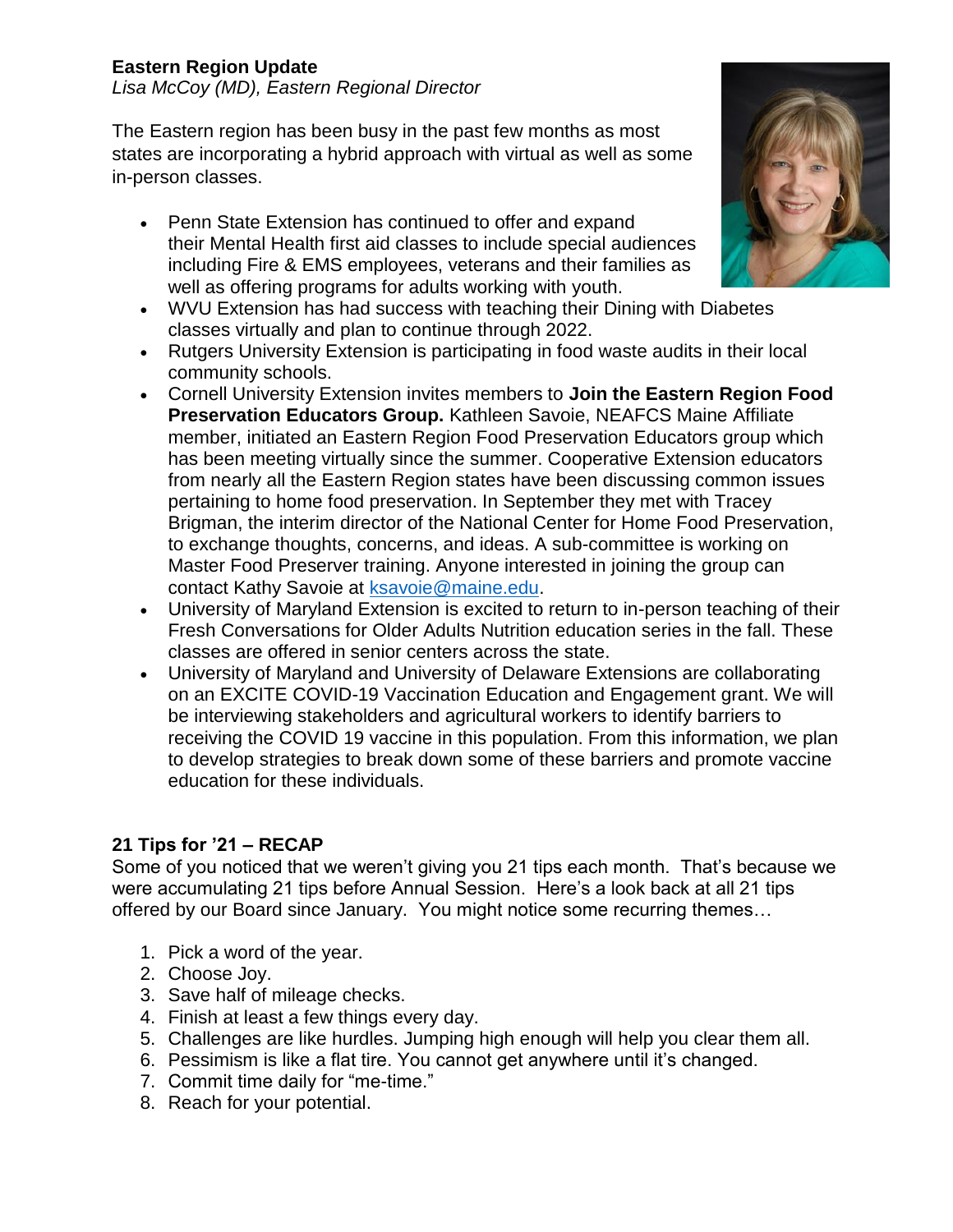# **Eastern Region Update**

*Lisa McCoy (MD), Eastern Regional Director*

The Eastern region has been busy in the past few months as most states are incorporating a hybrid approach with virtual as well as some in-person classes.

- Penn State Extension has continued to offer and expand their Mental Health first aid classes to include special audiences including Fire & EMS employees, veterans and their families as well as offering programs for adults working with youth.
- WVU Extension has had success with teaching their Dining with Diabetes classes virtually and plan to continue through 2022.
- Rutgers University Extension is participating in food waste audits in their local community schools.
- Cornell University Extension invites members to **Join the Eastern Region Food Preservation Educators Group.** Kathleen Savoie, NEAFCS Maine Affiliate member, initiated an Eastern Region Food Preservation Educators group which has been meeting virtually since the summer. Cooperative Extension educators from nearly all the Eastern Region states have been discussing common issues pertaining to home food preservation. In September they met with Tracey Brigman, the interim director of the National Center for Home Food Preservation, to exchange thoughts, concerns, and ideas. A sub-committee is working on Master Food Preserver training. Anyone interested in joining the group can contact Kathy Savoie at [ksavoie@maine.edu.](mailto:ksavoie@maine.edu)
- University of Maryland Extension is excited to return to in-person teaching of their Fresh Conversations for Older Adults Nutrition education series in the fall. These classes are offered in senior centers across the state.
- University of Maryland and University of Delaware Extensions are collaborating on an EXCITE COVID-19 Vaccination Education and Engagement grant. We will be interviewing stakeholders and agricultural workers to identify barriers to receiving the COVID 19 vaccine in this population. From this information, we plan to develop strategies to break down some of these barriers and promote vaccine education for these individuals.

## **21 Tips for '21 – RECAP**

Some of you noticed that we weren't giving you 21 tips each month. That's because we were accumulating 21 tips before Annual Session. Here's a look back at all 21 tips offered by our Board since January. You might notice some recurring themes…

- 1. Pick a word of the year.
- 2. Choose Joy.
- 3. Save half of mileage checks.
- 4. Finish at least a few things every day.
- 5. Challenges are like hurdles. Jumping high enough will help you clear them all.
- 6. Pessimism is like a flat tire. You cannot get anywhere until it's changed.
- 7. Commit time daily for "me-time."
- 8. Reach for your potential.

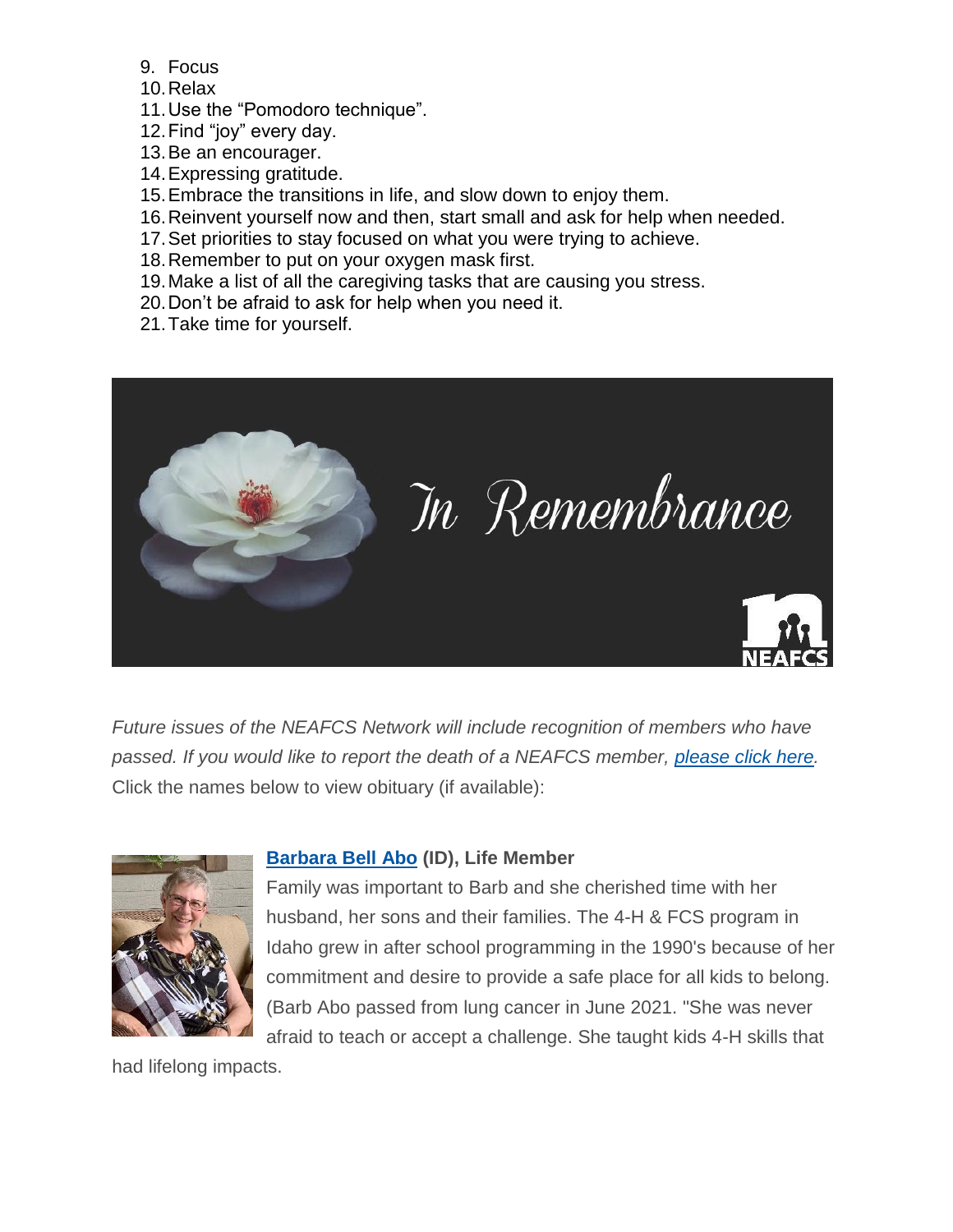- 9. Focus
- 10.Relax
- 11.Use the "Pomodoro technique".
- 12.Find "joy" every day.
- 13.Be an encourager.
- 14.Expressing gratitude.
- 15.Embrace the transitions in life, and slow down to enjoy them.
- 16.Reinvent yourself now and then, start small and ask for help when needed.
- 17.Set priorities to stay focused on what you were trying to achieve.
- 18.Remember to put on your oxygen mask first.
- 19.Make a list of all the caregiving tasks that are causing you stress.
- 20.Don't be afraid to ask for help when you need it.
- 21.Take time for yourself.



*Future issues of the NEAFCS Network will include recognition of members who have passed. If you would like to report the death of a NEAFCS member, [please](https://neafcs.memberclicks.net/obituary-portal) click here.* Click the names below to view obituary (if available):



## **[Barbara](https://www.bowmanfuneral.com/obituary/barbara-bell-abo/) Bell Abo (ID), Life Member**

Family was important to Barb and she cherished time with her husband, her sons and their families. The 4-H & FCS program in Idaho grew in after school programming in the 1990's because of her commitment and desire to provide a safe place for all kids to belong. (Barb Abo passed from lung cancer in June 2021. "She was never afraid to teach or accept a challenge. She taught kids 4-H skills that

had lifelong impacts.